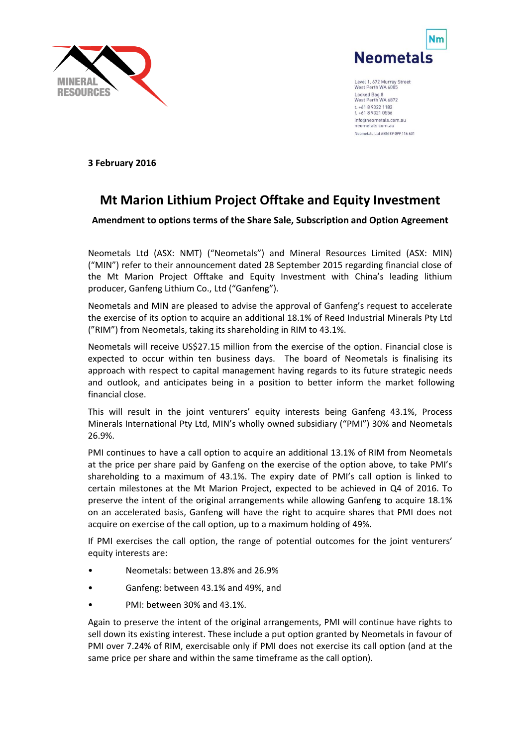



Level 1, 672 Murray Street<br>West Perth WA 6005 Locked Bag 8<br>West Perth WA 6872 t. +61 8 9322 1182 f. +61 8 9321 0556 info@neometals.com.au neometals com au Neometals Ltd ABN 89 099 116 631

**3 February 2016**

## **Mt Marion Lithium Project Offtake and Equity Investment**

**Amendment to options terms of the Share Sale, Subscription and Option Agreement**

Neometals Ltd (ASX: NMT) ("Neometals") and Mineral Resources Limited (ASX: MIN) ("MIN") refer to their announcement dated 28 September 2015 regarding financial close of the Mt Marion Project Offtake and Equity Investment with China's leading lithium producer, Ganfeng Lithium Co., Ltd ("Ganfeng").

Neometals and MIN are pleased to advise the approval of Ganfeng's request to accelerate the exercise of its option to acquire an additional 18.1% of Reed Industrial Minerals Pty Ltd ("RIM") from Neometals, taking its shareholding in RIM to 43.1%.

Neometals will receive US\$27.15 million from the exercise of the option. Financial close is expected to occur within ten business days. The board of Neometals is finalising its approach with respect to capital management having regards to its future strategic needs and outlook, and anticipates being in a position to better inform the market following financial close.

This will result in the joint venturers' equity interests being Ganfeng 43.1%, Process Minerals International Pty Ltd, MIN's wholly owned subsidiary ("PMI") 30% and Neometals 26.9%.

PMI continues to have a call option to acquire an additional 13.1% of RIM from Neometals at the price per share paid by Ganfeng on the exercise of the option above, to take PMI's shareholding to a maximum of 43.1%. The expiry date of PMI's call option is linked to certain milestones at the Mt Marion Project, expected to be achieved in Q4 of 2016. To preserve the intent of the original arrangements while allowing Ganfeng to acquire 18.1% on an accelerated basis, Ganfeng will have the right to acquire shares that PMI does not acquire on exercise of the call option, up to a maximum holding of 49%.

If PMI exercises the call option, the range of potential outcomes for the joint venturers' equity interests are:

- Neometals: between 13.8% and 26.9%
- Ganfeng: between 43.1% and 49%, and
- PMI: between 30% and 43.1%.

Again to preserve the intent of the original arrangements, PMI will continue have rights to sell down its existing interest. These include a put option granted by Neometals in favour of PMI over 7.24% of RIM, exercisable only if PMI does not exercise its call option (and at the same price per share and within the same timeframe as the call option).